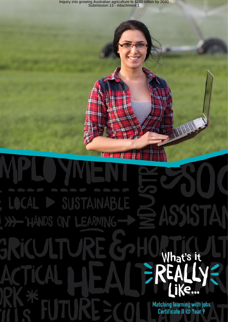Inquiry into growing Australian agriculture to \$100 billion by 2030 Submission 13 - Attachment 1

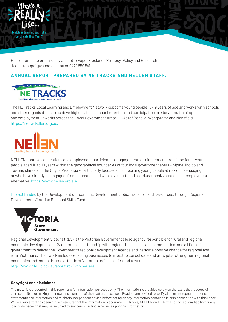

Report template prepared by Jeanette Pope, Freelance Strategy, Policy and Research Jeanettepope1@yahoo.com.au or 0421 859 541.

# Jeanettepope1@yahoo.com.au or 0421 859 541.<br>**ANNUAL REPORT PREPARED BY NE TRACKS AND NELLEN STAFF.**



and other organisations to achieve higher rates of school retention and participation in education, training  $B_3$  is a region of the spacing  $\mu$  and  $\mu$  and spacing:  $\mu$  and spacing:  $\mu$  after paragraph spacing:  $\mu$ The NE Tracks Local Learning and Employment Network supports young people 10-19 years of age and works with schools and employment. It works across the Local Government Areas (LGAs) of Benalla, Wangaratta and Mansfield. https://netracksllen.org.au/



NELLEN improves educations and employment participation, engagement, attainment and transition for all young people aged 10 to 19 years within the geographical boundaries of four local government areas - Alpine, Indigo and or who have already disengaged, home<br>alternative. https://www.nellen.org.au/ Towong shires and the City of Wodonga – particularly focused on supporting young people at risk of disengaging, or who have already disengaged, from education and who have not found an educational, vocational or employment

o Sub points as above Project funded by the Development of Economic Development, Jobs, Transport and Resources, through Regional Development Victoria's Regional Skills Fund.



Regional Development Victoria (RDV) is the Victorian Government's lead agency responsible for rural and regional economic development. RDV operates in partnership with regional businesses and communities, and all tiers of government to deliver the Government's regional development agenda and instigate positive change for regional and rural Victorians. Their work includes enabling businesses to invest to consolidate and grow jobs, strengthen regional economies and enrich the social fabric of Victoria's regional cities and towns. http://www.rdv.vic.gov.au/about-rdv/who-we-are

#### **Copyright and disclaimer**

While every effort has been made to ensure that the information is accurate, NE Tracks, NELLEN and RDV will not accept any liability for any The materials presented in this report are for information purposes only. The information is provided solely on the basis that readers will be responsible for making their own assessments of the matters discussed. Readers are advised to verify all relevant representations, statements and information and to obtain independent advice before acting on any information contained in or in connection with this report. loss or damages that may be incurred by any person acting in reliance upon the information.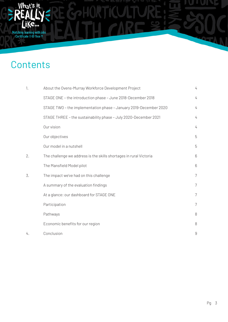

## Contents **Contents Contents**

What's it

| 1. | About the Ovens-Murray Workforce Development Project               | 4 |
|----|--------------------------------------------------------------------|---|
|    | STAGE ONE - the introduction phase - June 2018-December 2018       | 4 |
|    | STAGE TWO - the implementation phase - January 2019-December 2020  | 4 |
|    | STAGE THREE - the sustainability phase - July 2020-December 2021   | 4 |
|    | Our vision                                                         | 4 |
|    | Our objectives                                                     | 5 |
|    | Our model in a nutshell                                            | 5 |
| 2. | The challenge we address is the skills shortages in rural Victoria | 6 |
|    | The Mansfield Model pilot                                          | 6 |
| 3. | The impact we've had on this challenge                             | 7 |
|    | A summary of the evaluation findings                               | 7 |
|    | At a glance: our dashboard for STAGE ONE                           | 7 |
|    | Participation                                                      | 7 |
|    | Pathways                                                           | 8 |
|    | Economic benefits for our region                                   | 8 |
| 4. | Conclusion                                                         | 9 |

Inquiry into growing Australian agriculture to \$100 billion by 2030 Submission 13 - Attachment 13 - Attachment 13 - Attachment 13 - Attachment 13 - Attachment 13 - Attachment 13 - Attachment 13 - Attachment 13 - Attachment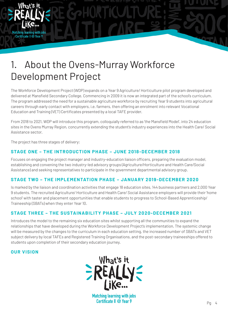

The Workforce Development Project (WDP) expands on a Year 9 Agriculture/ Horticulture pilot program developed and The program addressed the need for a sustainable agriculture workforce by recruiting Year 9 students into agricultural  $\blacksquare$ Education and Training (VET) Certificates presented by a local TAFE provider. delivered at Mansfield Secondary College. Commencing in 2009 it is now an integrated part of the school's curriculum. careers through early contact with employers, i.e. farmers, then offering an enrolment into relevant Vocational

Inquiry into growing Australian agriculture to \$100 billion by 2030 Submission 13 - Attachment 13 - Attachment 13 - Attachment 13 - Attachment 13 - Attachment 13 - Attachment 13 - Attachment 13 - Attachment 13 - Attachment

sites in the Ovens Murray Region, concurrently extending the student's industry experiences into the Health Care/Social Assistance sector. From 2018 to 2021, WDP will introduce this program, colloquially referred to as 'the Mansfield Model', into 24 education

The project has three stages of delivery:

**Matching learning with jobs** Certificate II @ Year 9

#### outcomes for young people in Geelong, and being established in several sites across Australia and internationally. STAGE ONE – THE INTRODUCTION PHASE – JUNE 2018-DECEMBER 2018

Focuses on engaging the project manager and industry-education liaison officers, preparing the evaluation model, establishing and convening the two industry-led advisory groups (Agriculture/Horticulture and Health Care/Social Assistance) and seeking representatives to participate in the government departmental advisory group.

#### **STAGE TWO - THE IMPLEMENTATION PHASE - JANUARY 2019-DECEMBER 2020**

Is marked by the liaison and coordination activities that engage 18 education sites, 144 business partners and 2,000 Year<br>Contribution Theory is the coordination activities that engage 18 education sites, 144 business part o stadents. The recraited Agnoditate*r Hortleatidi* e and rieatin odre*r* obelin Assistance employers will provide them i<br>school' with taster and placement opportunities that enable students to progress to School-Based App • Project or program management experience; including: Traineeship (SBATs) when they enter Year 10. o experience in planning and executing projects or programs to achieve defined outcomes within set 9 students. The recruited Agriculture/ Horticulture and Health Care/ Social Assistance employers will provide their 'home

#### STAGE THREE – THE SUSTAINABILITY PHASE – JULY 2020-DECEMBER 2021

Introduces the model to the remaining six education sites whilst supporting all the communities to expand the relationships that have developed during the Workforce Development Project's implementation. The systemic change will be measured by the changes to the curriculum in each education setting, the increased number of SBATs and VET subject delivery by local TAFEs and Registered Training Organisations, and the post-secondary traineeships offered to students upon completion of their secondary education journey.

#### **OUR VISION**



**Matching learning with jobs** Certificate II @ Year 9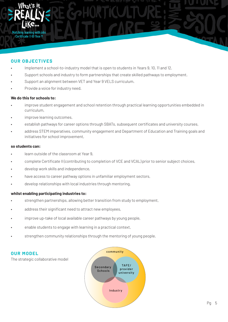

#### **OUR OBJECTIVES**

- 
- Implement a school-to-industry model that is open to students in Years 9, 10, 11 and 12.<br>• Support schools and industry to form partnerships that create skilled pathways to emp • Support schools and industry to form partnerships that create skilled pathways to employment.
- Support an alignment between VET and Year 9 VELS curriculum.
- Provide a voice for industry need. • Provide a voice for industry need.

#### **We do this for schools to:**

- we ao trils for schools to:<br>• improve student engagement and school retention through practical learning opportunities embedded in **HEADING 3: BARLOW BOX 8: BARLOW BOX 8: BARLOW BOX 8: BARLOW BOX 8: BARLOW BOX 8: BARLOW BOX 8: BARLOW BOX 8: BARLOW BOX 8: BARLOW BOX 8: BARLOW BOX 8: BARLOW BOX 8: BARLOW BOX 8: BARLOW BOX 8: BARLOW BOX 8: BARLOW BOX 8:** curriculum,
- improve learning outcomes,
- $\bullet$  establish pathways for career options through SBATs, subsequent certificates and university courses,
- address STEM imperatives, community engagement and Department of Education and Training goals and initiatives for school improvement, the attention education. It will do this metal or disengagement from education. It will do this metal in this metal or disengagement from education. It will do this metal or disengagemen

#### by implementing the successful Community of Schools and Services (COSS) model, which is achieving significant outcomes for young people in Geelong, and being established in several sites across Australia and internationally. **so students can:**

- learn outside of the classroom at Year 9,
- complete Certificate II (contributing to completion of VCE and VCAL) prior to senior subject choices,
- develop work skills and independence,
- have access to career pathway options in unfamiliar employment sectors,
- develop relationships with local industries through mentoring,

#### • Bullet points: line spacing of 1.15 whilst enabling participating industries to:<br>.

- $\bullet$  strengthen partnerships, allowing better transition from study to employment,
- address their significant need to attract new employees, with set  $\alpha$ timeframes and budgets.
- improve up-take of local available career pathways by young people,
- enable students to engage with learning in a practical context,
- strengthen community relationships through the mentoring of young people.

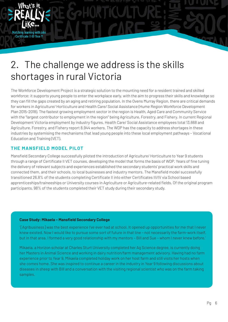### Z. The challenge we address<br>shortages in rural Victoria 2. The challenge we address is the skills shortages in rural Victoria

The Workforce Development Project is a strategic solution to the mounting need for a resident trained and skilled they can fill the gaps created by an aging and retiring population. In the Ovens Murray Region, there are critical demands Plan 2015-2018). The fastest growing employment sector in the region is Health, Aged Care and Community Service Bodispine in the energy ments, masser, rightleft reserved. Spacing: in paragraph space and a displace and a displace and  $\overline{B}$  and  $\overline{B}$  is the spacing of the WDP has the capacity to address shortages in these industries by systemising the mechanisms that lead young people into these local employment pathways - Vocational response for young people identified to be at risk of the second to be at risk of the second to be at risk of homelessness or disengagement from education. It will do this contract of the second to this contract of the sec workforce; it supports young people to enter the workplace early, with the aim to progress their skills and knowledge so for workers in Agriculture/ Horticulture and Health Care/ Social Assistance (Hume Region Workforce Development with the "largest contributor to employment in the region" being Agriculture, Forestry, and Fishery. In current Regional Development Victoria employment by industry figures, Health Care/ Social Assistance employees total 13,668 and

Inquiry into growing Australian agriculture to \$100 billion by 2030 Submission 13 - Attachment 13 - Attachment 13 - Attachment 13 - Attachment 13 - Attachment 13 - Attachment 13 - Attachment 13 - Attachment 13 - Attachment

#### outcomes for young people in Geelong, and being established in several sites across Australia and internationally. **THE MANSFIELD MODEL PILOT**

**Matching learning with jobs** Certificate II @ Year 9

Mansfield Secondary College successfully piloted the introduction of Agriculture/ Horticulture to Year 9 students through a range of Certificate II VET courses, developing the model that forms the basis of WDP. Years of fine tuning the delivery of relevant subjects and experiences established the secondary students' practical work skills and **Heading 4: Barlow Bold 10.5pt** transitioned 26.8% of the students completing Certificate II into either Certificates III/IV via School based participants, 98% of the students completed their VET study during their secondary study. connected them, and their schools, to local businesses and industry mentors. The Mansfield model successfully apprenticeships/traineeships or University courses in Agriculture or Agriculture-related fields. Of the original program

#### **Case Study: Mikaela – Mansfield Secondary College**

timeframes and budgets.

' [Agribusiness] was the best experience I've ever had at school. It opened up opportunities for me that I never knew existed. Now I would like to pursue some sort of future in that line – not necessarily the farm-work itself, but in that area. I formed a very good relationship with my mentors – Bill and Sue – whom I never knew before.'

Mikaela, a Horizon scholar at Charles Sturt University completed her Ag Science degree, is currently doing her Masters in Animal Science and working in dairy nutrition/farm management advisory. Having had no farm experience prior to Year 9, Mikaela completed holiday work on her host farm and still visits her hosts when she comes home. She was inspired to continue a career in the industry in Year 9 following discussions about diseases in sheep with Bill and a conversation with the visiting regional scientist who was on the farm taking samples.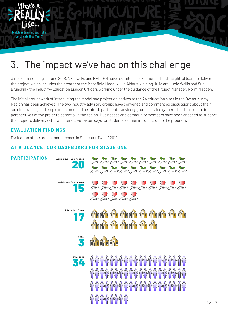# J. The impact we've had on the 3. The impact we've had on this challenge

the project which includes the creator of the Mansfield Model, Julie Aldous. Joining Julie are Lucie Wallis and Sue<br>Brunskill – the Industry-Education Liaison Officers working under the guidance of the Project Manager, Nor Since commencing in June 2018, NE Tracks and NELLEN have recruited an experienced and insightful team to deliver the project which includes the creator of the Mansfield Model, Julie Aldous. Joining Julie are Lucie Wallis and Sue

Inquiry into growing Australian agriculture to \$100 billion by 2030 Submission 13 - Attachment 13 - Attachment 13 - Attachment 13 - Attachment 13 - Attachment 13 - Attachment 13 - Attachment 13 - Attachment 13 - Attachment

He initial groundwork of introducing the model and project objectives to the 24 education sites in the Ovens Murray<br>Region has been achieved. The two industry advisory groups have convened and commenced discussions about t **HEADING 3: BARLOW BOLD 12PT UPP ERCASE, SPACING 100** perspectives of the project's potential in the region. Businesses and community members have been engaged to support The initial groundwork of introducing the model and project objectives to the 24 education sites in the Ovens Murray specific training and employment needs. The interdepartmental advisory group has also gathered and shared their the project's delivery with two interactive 'taster' days for students as their introduction to the program.

### The Wodonga Project will work to address social and educational disadvantage in schools by providing a coordinated **E VALUATION FINDINGS**

**Matching learning with jobs** Certificate II @ Year 9

Evaluation of the project commences in Semester Two of 2019

#### **AT A GLANCE: OUR DASHBOARD FOR STAGE ONE**

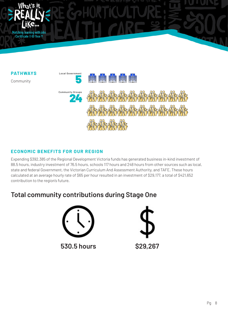

#### **CONOMIC BENEFITS FOR OUR REGION** *ECONOMIC BENEFITS FOR OUR REGION*  $T_{\rm CO}$  model is grown and data-driven early intervention practice, with strong practice, with strong practice, with strong product  $\sim$

Expending \$392,385 of the Regional Development Victoria funds has generated business in-kind investment of 88.5 hours, industry investment of 76.5 hours, schools 117 hours and 248 hours from other sources such as local, **Heading 4: Barlow Bold 10.5pt**<br>contribution to the region's future. state and federal Government, the Victorian Curriculum And Assessment Authority, and TAFE. These hours calculated at an average hourly rate of \$65 per hour resulted in an investment of \$29,177, a total of \$421,652

The Wodonga Project will work to address social and educational disadvantage in schools by providing a coordinated

### **Total community contributions during Stage One**



**530.5 hours \$29,267**

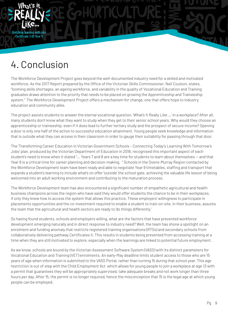

# 4. Conclusion

4. UONCIUSION<br>The Workforce Development Project goes beyond the well-documented industry need for a skilled and motivated Workforce. As the 2017 Report prepared by the Uffice of the Victorian Skills Commissioner, Neil Coulson, states,<br>"looming skills shortages, an ageing workforce, and variability in the quality of Vocational Education and Tr system." The Workforce Development Project offers a mechanism for change, one that offers hope to industry,<br>education and community elite workforce. As the 2017 Report prepared by the Office of the Victorian Skills Commissioner, Neil Coulson, states, graduates draws attention to the priority that needs to be placed on growing the Apprenticeship and Traineeship education and community alike.

The project assists students to answer the eternal vocational question, 'What's It Really Like …' in a workplace? After all, apprenticeship or traineeship, even if it does lead to further tertiary study and the prospect of secure income? Opening a door is only one half of the action to successful education attainment. Young people seek knowledge and information that is outside what they can access in their classroom in order to gauge their suitability for passing through that door. many students don't know what they want to study when they get to their senior school years. Why would they choose an

The 'Transforming Career Education in Victorian Government Schools - Connecting Today's Learning With Tomorrow's Jobs' plan, produced by the Victorian Department of Education in 2018, recognised this important aspect of each The COSS model is grounded in systems change and data-driven early intervention practice, with strong student's need to know when it stated "… Years 7 and 8 are a key time for students to learn about themselves — and that Year 9 is a critical time for career planning and decision-making. "Schools in the Ovens-Murray Region contacted by the Workforce Development team have been ready and able to negotiate Year 9 timetables, staffing and transport that welcomed into an adult working environment and contributing to the maturation process. expands a student's learning to include what's on offer 'outside' the school gate, achieving the valuable life lesson of being

The Workforce Development team has also encountered a significant number of empathetic agricultural and health<br>. business champions across the region who have said they would oner students the chance to be in their workplace<br>if only they knew how to access the system that allows this practice. These employers' willingness to particip rronry andy mew now to access the cyclem mat anowe the practice: These employers willingness to participate in<br>placements opportunities and the co-investment required to enable a student to train on-site, in their business placemente epperiumities and the set infocurrent required to endors a etablish to ham on ency in their such receipts assarce<br>the team that the agricultural and health sectors are ready to 'do things differently.' timeframes and budgets. business champions across the region who have said they would offer students the chance to be in their workplaces,

So having found students, schools and employers willing, what are the factors that have prevented workforce development emerging naturally and in direct response to industry need? Well, the team has shone a spotlight on an enrolment and funding anomaly that restricts registered training organisations (RTOs) and secondary schools from collaboratively delivering pathway Certificates II. This results in students being prevented from accessing training at a time when they are still motivated to explore, especially when the learnings are linked to potential future employment.

As we know, schools are bound by the Victorian Assessment Software System (VASS) with its distinct parameters for Vocational Education and Training (VET) enrolments. An early-May deadline limits student access to those who are 15 years of age when information is submitted to the VASS Portal, rather than turning 15 during that school year. This age restriction is out of step with the Child Employment Act which allows for young people to join a workplace at age 13 with a permit that guarantees they will be appropriately supervised, take adequate breaks and not work longer than three hours per day. After 15, the permit is no longer required, hence the misconception that 15 is the legal age at which young people can be employed.